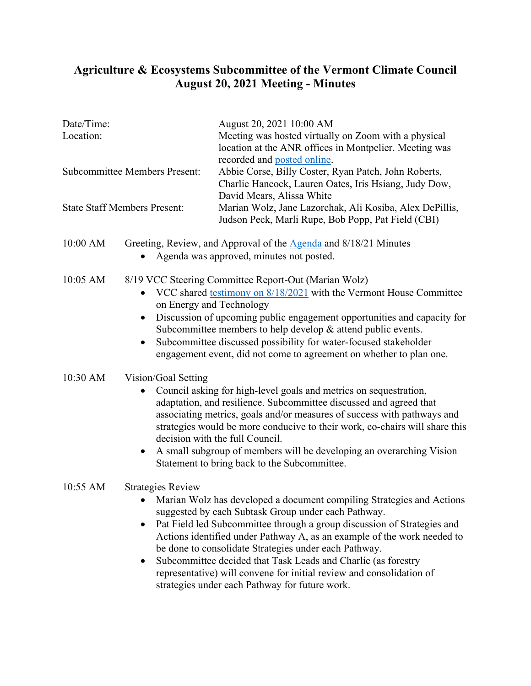## **Agriculture & Ecosystems Subcommittee of the Vermont Climate Council August 20, 2021 Meeting - Minutes**

------------

......

............................

. . . . .

| Date/Time:<br>Location:<br><b>Subcommittee Members Present:</b> |                                                                                                                                                                                                                                                                                                                                                                                                                                                                                                  | August 20, 2021 10:00 AM<br>Meeting was hosted virtually on Zoom with a physical<br>location at the ANR offices in Montpelier. Meeting was<br>recorded and posted online.<br>Abbie Corse, Billy Coster, Ryan Patch, John Roberts,<br>Charlie Hancock, Lauren Oates, Iris Hsiang, Judy Dow,<br>David Mears, Alissa White                                                                                                                                                                                                                |                                     |
|-----------------------------------------------------------------|--------------------------------------------------------------------------------------------------------------------------------------------------------------------------------------------------------------------------------------------------------------------------------------------------------------------------------------------------------------------------------------------------------------------------------------------------------------------------------------------------|----------------------------------------------------------------------------------------------------------------------------------------------------------------------------------------------------------------------------------------------------------------------------------------------------------------------------------------------------------------------------------------------------------------------------------------------------------------------------------------------------------------------------------------|-------------------------------------|
|                                                                 |                                                                                                                                                                                                                                                                                                                                                                                                                                                                                                  |                                                                                                                                                                                                                                                                                                                                                                                                                                                                                                                                        | <b>State Staff Members Present:</b> |
| 10:00 AM                                                        |                                                                                                                                                                                                                                                                                                                                                                                                                                                                                                  | Greeting, Review, and Approval of the <b>Agenda</b> and 8/18/21 Minutes<br>Agenda was approved, minutes not posted.                                                                                                                                                                                                                                                                                                                                                                                                                    |                                     |
| 10:05 AM                                                        | 8/19 VCC Steering Committee Report-Out (Marian Wolz)<br>VCC shared testimony on 8/18/2021 with the Vermont House Committee<br>on Energy and Technology<br>Discussion of upcoming public engagement opportunities and capacity for<br>$\bullet$<br>Subcommittee members to help develop $&$ attend public events.<br>Subcommittee discussed possibility for water-focused stakeholder<br>engagement event, did not come to agreement on whether to plan one.                                      |                                                                                                                                                                                                                                                                                                                                                                                                                                                                                                                                        |                                     |
| 10:30 AM                                                        | Vision/Goal Setting<br>Council asking for high-level goals and metrics on sequestration,<br>adaptation, and resilience. Subcommittee discussed and agreed that<br>associating metrics, goals and/or measures of success with pathways and<br>strategies would be more conducive to their work, co-chairs will share this<br>decision with the full Council.<br>A small subgroup of members will be developing an overarching Vision<br>$\bullet$<br>Statement to bring back to the Subcommittee. |                                                                                                                                                                                                                                                                                                                                                                                                                                                                                                                                        |                                     |
| 10:55 AM                                                        | <b>Strategies Review</b>                                                                                                                                                                                                                                                                                                                                                                                                                                                                         | Marian Wolz has developed a document compiling Strategies and Actions<br>suggested by each Subtask Group under each Pathway.<br>Pat Field led Subcommittee through a group discussion of Strategies and<br>Actions identified under Pathway A, as an example of the work needed to<br>be done to consolidate Strategies under each Pathway.<br>Subcommittee decided that Task Leads and Charlie (as forestry<br>representative) will convene for initial review and consolidation of<br>strategies under each Pathway for future work. |                                     |